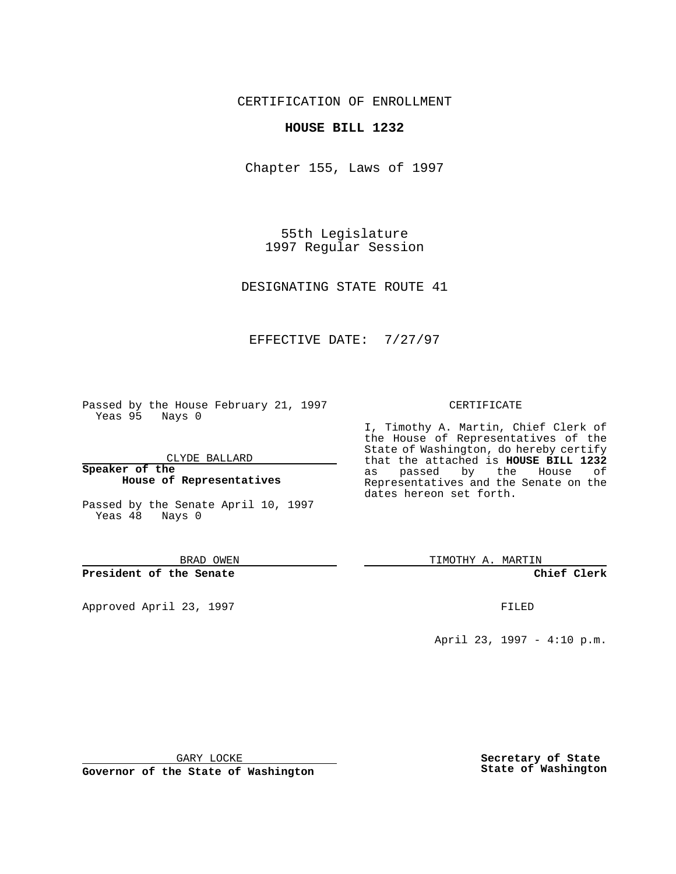CERTIFICATION OF ENROLLMENT

### **HOUSE BILL 1232**

Chapter 155, Laws of 1997

55th Legislature 1997 Regular Session

DESIGNATING STATE ROUTE 41

## EFFECTIVE DATE: 7/27/97

Passed by the House February 21, 1997 Yeas 95 Nays 0

CLYDE BALLARD

**Speaker of the House of Representatives**

Passed by the Senate April 10, 1997 Yeas 48 Nays 0

BRAD OWEN

**President of the Senate**

Approved April 23, 1997 **FILED** 

#### CERTIFICATE

I, Timothy A. Martin, Chief Clerk of the House of Representatives of the State of Washington, do hereby certify that the attached is **HOUSE BILL 1232** as passed by the House of Representatives and the Senate on the dates hereon set forth.

TIMOTHY A. MARTIN

**Chief Clerk**

April 23, 1997 - 4:10 p.m.

GARY LOCKE

**Governor of the State of Washington**

**Secretary of State State of Washington**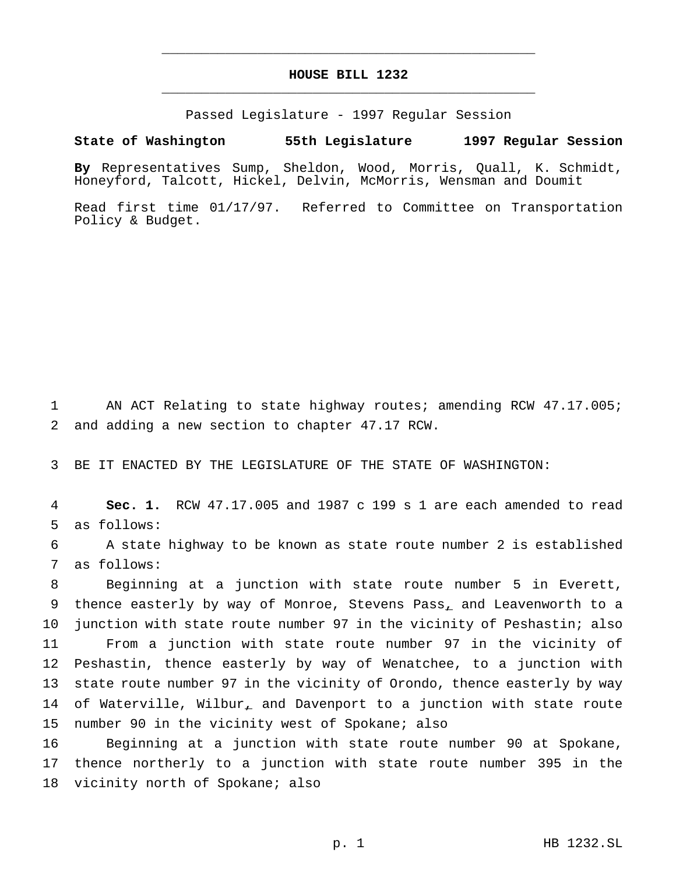# **HOUSE BILL 1232** \_\_\_\_\_\_\_\_\_\_\_\_\_\_\_\_\_\_\_\_\_\_\_\_\_\_\_\_\_\_\_\_\_\_\_\_\_\_\_\_\_\_\_\_\_\_\_

\_\_\_\_\_\_\_\_\_\_\_\_\_\_\_\_\_\_\_\_\_\_\_\_\_\_\_\_\_\_\_\_\_\_\_\_\_\_\_\_\_\_\_\_\_\_\_

Passed Legislature - 1997 Regular Session

#### **State of Washington 55th Legislature 1997 Regular Session**

**By** Representatives Sump, Sheldon, Wood, Morris, Quall, K. Schmidt, Honeyford, Talcott, Hickel, Delvin, McMorris, Wensman and Doumit

Read first time 01/17/97. Referred to Committee on Transportation Policy & Budget.

1 AN ACT Relating to state highway routes; amending RCW 47.17.005; 2 and adding a new section to chapter 47.17 RCW.

3 BE IT ENACTED BY THE LEGISLATURE OF THE STATE OF WASHINGTON:

4 **Sec. 1.** RCW 47.17.005 and 1987 c 199 s 1 are each amended to read 5 as follows:

6 A state highway to be known as state route number 2 is established 7 as follows:

 Beginning at a junction with state route number 5 in Everett, 9 thence easterly by way of Monroe, Stevens Pass, and Leavenworth to a junction with state route number 97 in the vicinity of Peshastin; also From a junction with state route number 97 in the vicinity of Peshastin, thence easterly by way of Wenatchee, to a junction with state route number 97 in the vicinity of Orondo, thence easterly by way 14 of Waterville, Wilbur, and Davenport to a junction with state route number 90 in the vicinity west of Spokane; also

16 Beginning at a junction with state route number 90 at Spokane, 17 thence northerly to a junction with state route number 395 in the 18 vicinity north of Spokane; also